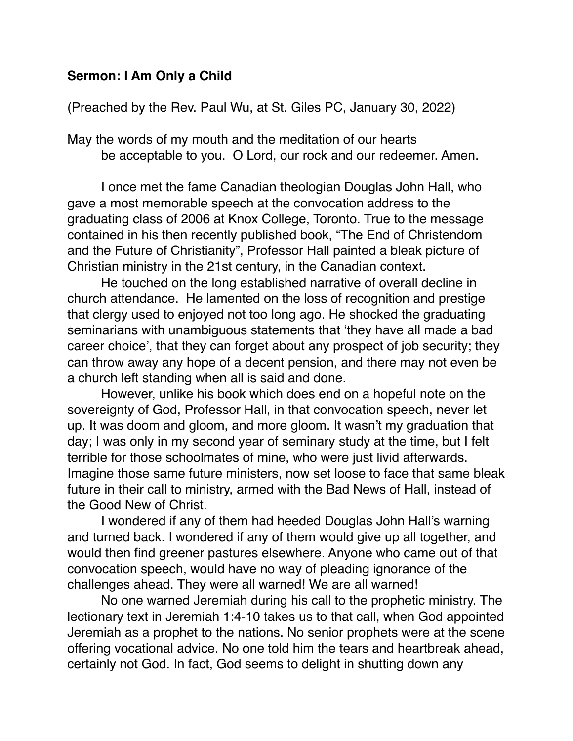## **Sermon: I Am Only a Child**

## (Preached by the Rev. Paul Wu, at St. Giles PC, January 30, 2022)

May the words of my mouth and the meditation of our hearts be acceptable to you. O Lord, our rock and our redeemer. Amen.

I once met the fame Canadian theologian Douglas John Hall, who gave a most memorable speech at the convocation address to the graduating class of 2006 at Knox College, Toronto. True to the message contained in his then recently published book, "The End of Christendom and the Future of Christianity", Professor Hall painted a bleak picture of Christian ministry in the 21st century, in the Canadian context.

He touched on the long established narrative of overall decline in church attendance. He lamented on the loss of recognition and prestige that clergy used to enjoyed not too long ago. He shocked the graduating seminarians with unambiguous statements that 'they have all made a bad career choice', that they can forget about any prospect of job security; they can throw away any hope of a decent pension, and there may not even be a church left standing when all is said and done.

However, unlike his book which does end on a hopeful note on the sovereignty of God, Professor Hall, in that convocation speech, never let up. It was doom and gloom, and more gloom. It wasn't my graduation that day; I was only in my second year of seminary study at the time, but I felt terrible for those schoolmates of mine, who were just livid afterwards. Imagine those same future ministers, now set loose to face that same bleak future in their call to ministry, armed with the Bad News of Hall, instead of the Good New of Christ.

I wondered if any of them had heeded Douglas John Hall's warning and turned back. I wondered if any of them would give up all together, and would then find greener pastures elsewhere. Anyone who came out of that convocation speech, would have no way of pleading ignorance of the challenges ahead. They were all warned! We are all warned!

No one warned Jeremiah during his call to the prophetic ministry. The lectionary text in Jeremiah 1:4-10 takes us to that call, when God appointed Jeremiah as a prophet to the nations. No senior prophets were at the scene offering vocational advice. No one told him the tears and heartbreak ahead, certainly not God. In fact, God seems to delight in shutting down any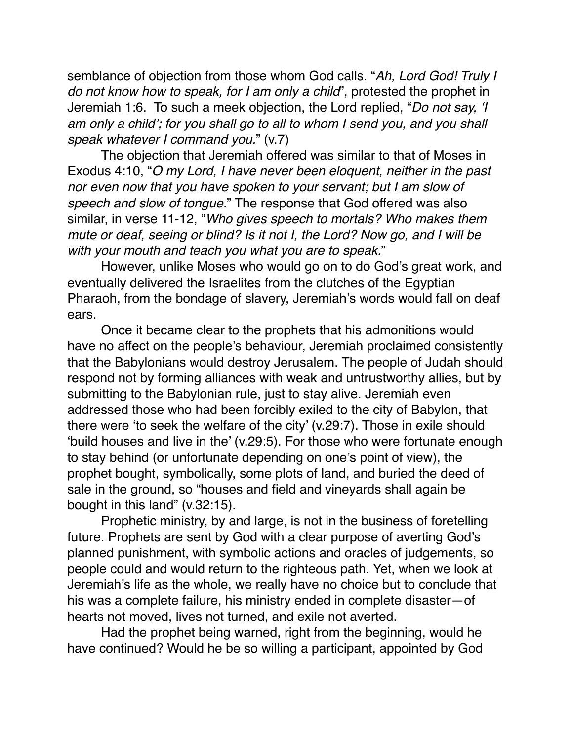semblance of objection from those whom God calls. "*Ah, Lord God! Truly I do not know how to speak, for I am only a child*", protested the prophet in Jeremiah 1:6. To such a meek objection, the Lord replied, "*Do not say, 'I am only a child'; for you shall go to all to whom I send you, and you shall speak whatever I command you.*" (v.7)

The objection that Jeremiah offered was similar to that of Moses in Exodus 4:10, "*O my Lord, I have never been eloquent, neither in the past nor even now that you have spoken to your servant; but I am slow of speech and slow of tongue.*" The response that God offered was also similar, in verse 11-12, "*Who gives speech to mortals? Who makes them mute or deaf, seeing or blind? Is it not I, the Lord? Now go, and I will be with your mouth and teach you what you are to speak.*"

However, unlike Moses who would go on to do God's great work, and eventually delivered the Israelites from the clutches of the Egyptian Pharaoh, from the bondage of slavery, Jeremiah's words would fall on deaf ears.

Once it became clear to the prophets that his admonitions would have no affect on the people's behaviour, Jeremiah proclaimed consistently that the Babylonians would destroy Jerusalem. The people of Judah should respond not by forming alliances with weak and untrustworthy allies, but by submitting to the Babylonian rule, just to stay alive. Jeremiah even addressed those who had been forcibly exiled to the city of Babylon, that there were 'to seek the welfare of the city' (v.29:7). Those in exile should 'build houses and live in the' (v.29:5). For those who were fortunate enough to stay behind (or unfortunate depending on one's point of view), the prophet bought, symbolically, some plots of land, and buried the deed of sale in the ground, so "houses and field and vineyards shall again be bought in this land" (v.32:15).

Prophetic ministry, by and large, is not in the business of foretelling future. Prophets are sent by God with a clear purpose of averting God's planned punishment, with symbolic actions and oracles of judgements, so people could and would return to the righteous path. Yet, when we look at Jeremiah's life as the whole, we really have no choice but to conclude that his was a complete failure, his ministry ended in complete disaster—of hearts not moved, lives not turned, and exile not averted.

Had the prophet being warned, right from the beginning, would he have continued? Would he be so willing a participant, appointed by God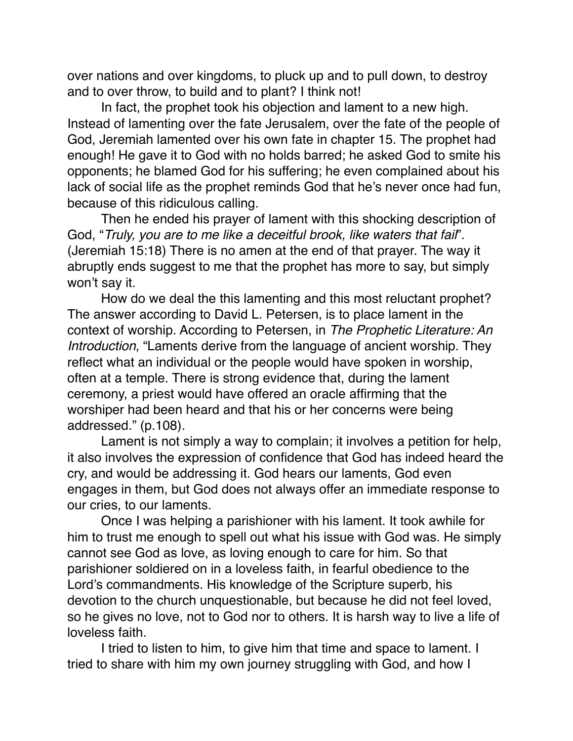over nations and over kingdoms, to pluck up and to pull down, to destroy and to over throw, to build and to plant? I think not!

In fact, the prophet took his objection and lament to a new high. Instead of lamenting over the fate Jerusalem, over the fate of the people of God, Jeremiah lamented over his own fate in chapter 15. The prophet had enough! He gave it to God with no holds barred; he asked God to smite his opponents; he blamed God for his suffering; he even complained about his lack of social life as the prophet reminds God that he's never once had fun, because of this ridiculous calling.

Then he ended his prayer of lament with this shocking description of God, "*Truly, you are to me like a deceitful brook, like waters that fail*". (Jeremiah 15:18) There is no amen at the end of that prayer. The way it abruptly ends suggest to me that the prophet has more to say, but simply won't say it.

How do we deal the this lamenting and this most reluctant prophet? The answer according to David L. Petersen, is to place lament in the context of worship. According to Petersen, in *The Prophetic Literature: An Introduction*, "Laments derive from the language of ancient worship. They reflect what an individual or the people would have spoken in worship, often at a temple. There is strong evidence that, during the lament ceremony, a priest would have offered an oracle affirming that the worshiper had been heard and that his or her concerns were being addressed." (p.108).

Lament is not simply a way to complain; it involves a petition for help, it also involves the expression of confidence that God has indeed heard the cry, and would be addressing it. God hears our laments, God even engages in them, but God does not always offer an immediate response to our cries, to our laments.

Once I was helping a parishioner with his lament. It took awhile for him to trust me enough to spell out what his issue with God was. He simply cannot see God as love, as loving enough to care for him. So that parishioner soldiered on in a loveless faith, in fearful obedience to the Lord's commandments. His knowledge of the Scripture superb, his devotion to the church unquestionable, but because he did not feel loved, so he gives no love, not to God nor to others. It is harsh way to live a life of loveless faith.

I tried to listen to him, to give him that time and space to lament. I tried to share with him my own journey struggling with God, and how I